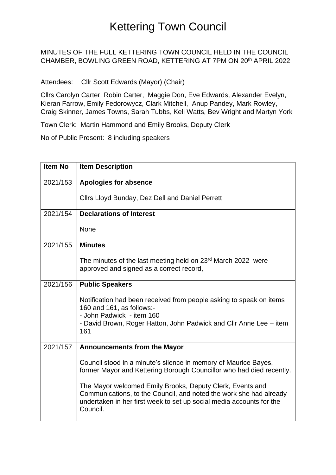#### MINUTES OF THE FULL KETTERING TOWN COUNCIL HELD IN THE COUNCIL CHAMBER, BOWLING GREEN ROAD, KETTERING AT 7PM ON 20th APRIL 2022

Attendees: Cllr Scott Edwards (Mayor) (Chair)

Cllrs Carolyn Carter, Robin Carter, Maggie Don, Eve Edwards, Alexander Evelyn, Kieran Farrow, Emily Fedorowycz, Clark Mitchell, Anup Pandey, Mark Rowley, Craig Skinner, James Towns, Sarah Tubbs, Keli Watts, Bev Wright and Martyn York

Town Clerk: Martin Hammond and Emily Brooks, Deputy Clerk

No of Public Present: 8 including speakers

| <b>Item No</b> | <b>Item Description</b>                                                                                                                                                                                             |
|----------------|---------------------------------------------------------------------------------------------------------------------------------------------------------------------------------------------------------------------|
| 2021/153       | Apologies for absence                                                                                                                                                                                               |
|                | Cllrs Lloyd Bunday, Dez Dell and Daniel Perrett                                                                                                                                                                     |
| 2021/154       | <b>Declarations of Interest</b>                                                                                                                                                                                     |
|                | None                                                                                                                                                                                                                |
| 2021/155       | <b>Minutes</b>                                                                                                                                                                                                      |
|                | The minutes of the last meeting held on 23 <sup>rd</sup> March 2022 were<br>approved and signed as a correct record,                                                                                                |
| 2021/156       | <b>Public Speakers</b>                                                                                                                                                                                              |
|                | Notification had been received from people asking to speak on items<br>160 and 161, as follows:-<br>- John Padwick - item 160                                                                                       |
|                | - David Brown, Roger Hatton, John Padwick and Cllr Anne Lee – item<br>161                                                                                                                                           |
| 2021/157       | <b>Announcements from the Mayor</b>                                                                                                                                                                                 |
|                | Council stood in a minute's silence in memory of Maurice Bayes,<br>former Mayor and Kettering Borough Councillor who had died recently.                                                                             |
|                | The Mayor welcomed Emily Brooks, Deputy Clerk, Events and<br>Communications, to the Council, and noted the work she had already<br>undertaken in her first week to set up social media accounts for the<br>Council. |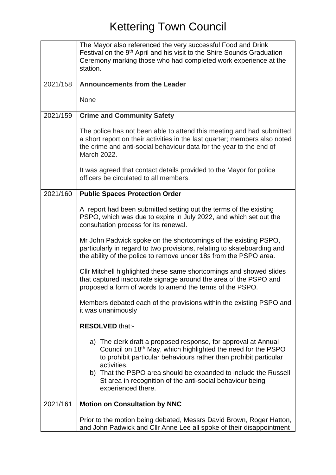|          | The Mayor also referenced the very successful Food and Drink<br>Festival on the 9 <sup>th</sup> April and his visit to the Shire Sounds Graduation<br>Ceremony marking those who had completed work experience at the<br>station.                                                                 |
|----------|---------------------------------------------------------------------------------------------------------------------------------------------------------------------------------------------------------------------------------------------------------------------------------------------------|
| 2021/158 | <b>Announcements from the Leader</b>                                                                                                                                                                                                                                                              |
|          | None                                                                                                                                                                                                                                                                                              |
| 2021/159 | <b>Crime and Community Safety</b>                                                                                                                                                                                                                                                                 |
|          | The police has not been able to attend this meeting and had submitted<br>a short report on their activities in the last quarter; members also noted<br>the crime and anti-social behaviour data for the year to the end of<br>March 2022.                                                         |
|          | It was agreed that contact details provided to the Mayor for police<br>officers be circulated to all members.                                                                                                                                                                                     |
| 2021/160 | <b>Public Spaces Protection Order</b>                                                                                                                                                                                                                                                             |
|          | A report had been submitted setting out the terms of the existing<br>PSPO, which was due to expire in July 2022, and which set out the<br>consultation process for its renewal.                                                                                                                   |
|          | Mr John Padwick spoke on the shortcomings of the existing PSPO,<br>particularly in regard to two provisions, relating to skateboarding and<br>the ability of the police to remove under 18s from the PSPO area.                                                                                   |
|          | CIIr Mitchell highlighted these same shortcomings and showed slides<br>that captured inaccurate signage around the area of the PSPO and<br>proposed a form of words to amend the terms of the PSPO.                                                                                               |
|          | Members debated each of the provisions within the existing PSPO and<br>it was unanimously                                                                                                                                                                                                         |
|          | <b>RESOLVED that:-</b>                                                                                                                                                                                                                                                                            |
|          | a) The clerk draft a proposed response, for approval at Annual<br>Council on 18 <sup>th</sup> May, which highlighted the need for the PSPO<br>to prohibit particular behaviours rather than prohibit particular<br>activities,<br>b) That the PSPO area should be expanded to include the Russell |
|          | St area in recognition of the anti-social behaviour being<br>experienced there.                                                                                                                                                                                                                   |
| 2021/161 | <b>Motion on Consultation by NNC</b>                                                                                                                                                                                                                                                              |
|          | Prior to the motion being debated, Messrs David Brown, Roger Hatton,<br>and John Padwick and Cllr Anne Lee all spoke of their disappointment                                                                                                                                                      |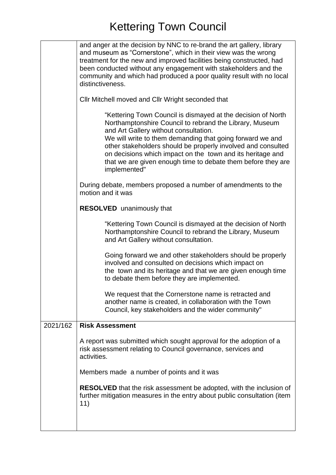|          | and anger at the decision by NNC to re-brand the art gallery, library<br>and museum as "Cornerstone", which in their view was the wrong<br>treatment for the new and improved facilities being constructed, had<br>been conducted without any engagement with stakeholders and the<br>community and which had produced a poor quality result with no local<br>distinctiveness.                                                              |
|----------|---------------------------------------------------------------------------------------------------------------------------------------------------------------------------------------------------------------------------------------------------------------------------------------------------------------------------------------------------------------------------------------------------------------------------------------------|
|          | Cllr Mitchell moved and Cllr Wright seconded that                                                                                                                                                                                                                                                                                                                                                                                           |
|          | "Kettering Town Council is dismayed at the decision of North<br>Northamptonshire Council to rebrand the Library, Museum<br>and Art Gallery without consultation.<br>We will write to them demanding that going forward we and<br>other stakeholders should be properly involved and consulted<br>on decisions which impact on the town and its heritage and<br>that we are given enough time to debate them before they are<br>implemented" |
|          | During debate, members proposed a number of amendments to the<br>motion and it was                                                                                                                                                                                                                                                                                                                                                          |
|          | <b>RESOLVED</b> unanimously that                                                                                                                                                                                                                                                                                                                                                                                                            |
|          | "Kettering Town Council is dismayed at the decision of North<br>Northamptonshire Council to rebrand the Library, Museum<br>and Art Gallery without consultation.                                                                                                                                                                                                                                                                            |
|          | Going forward we and other stakeholders should be properly<br>involved and consulted on decisions which impact on<br>the town and its heritage and that we are given enough time<br>to debate them before they are implemented.                                                                                                                                                                                                             |
|          | We request that the Cornerstone name is retracted and<br>another name is created, in collaboration with the Town<br>Council, key stakeholders and the wider community"                                                                                                                                                                                                                                                                      |
| 2021/162 | <b>Risk Assessment</b>                                                                                                                                                                                                                                                                                                                                                                                                                      |
|          | A report was submitted which sought approval for the adoption of a<br>risk assessment relating to Council governance, services and<br>activities.                                                                                                                                                                                                                                                                                           |
|          | Members made a number of points and it was                                                                                                                                                                                                                                                                                                                                                                                                  |
|          | <b>RESOLVED</b> that the risk assessment be adopted, with the inclusion of<br>further mitigation measures in the entry about public consultation (item<br>11)                                                                                                                                                                                                                                                                               |
|          |                                                                                                                                                                                                                                                                                                                                                                                                                                             |